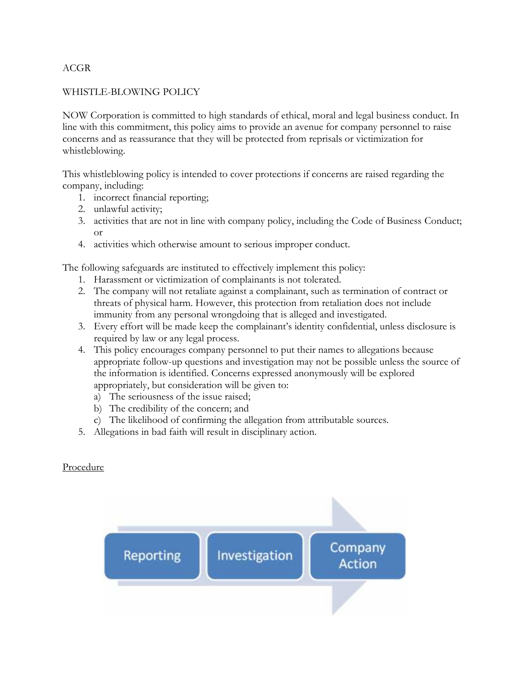# ACGR

# WHISTLE-BLOWING POLICY

NOW Corporation is committed to high standards of ethical, moral and legal business conduct. In line with this commitment, this policy aims to provide an avenue for company personnel to raise concerns and as reassurance that they will be protected from reprisals or victimization for whistleblowing.

This whistleblowing policy is intended to cover protections if concerns are raised regarding the company, including:

- 1. incorrect financial reporting;
- 2. unlawful activity;
- 3. activities that are not in line with company policy, including the Code of Business Conduct; or
- 4. activities which otherwise amount to serious improper conduct.

The following safeguards are instituted to effectively implement this policy:

- 1. Harassment or victimization of complainants is not tolerated.
- 2. The company will not retaliate against a complainant, such as termination of contract or threats of physical harm. However, this protection from retaliation does not include immunity from any personal wrongdoing that is alleged and investigated.
- 3. Every effort will be made keep the complainant's identity confidential, unless disclosure is required by law or any legal process.
- 4. This policy encourages company personnel to put their names to allegations because appropriate follow-up questions and investigation may not be possible unless the source of the information is identified. Concerns expressed anonymously will be explored appropriately, but consideration will be given to:
	- a) The seriousness of the issue raised;
	- b) The credibility of the concern; and
	- c) The likelihood of confirming the allegation from attributable sources.
- 5. Allegations in bad faith will result in disciplinary action.

### Procedure